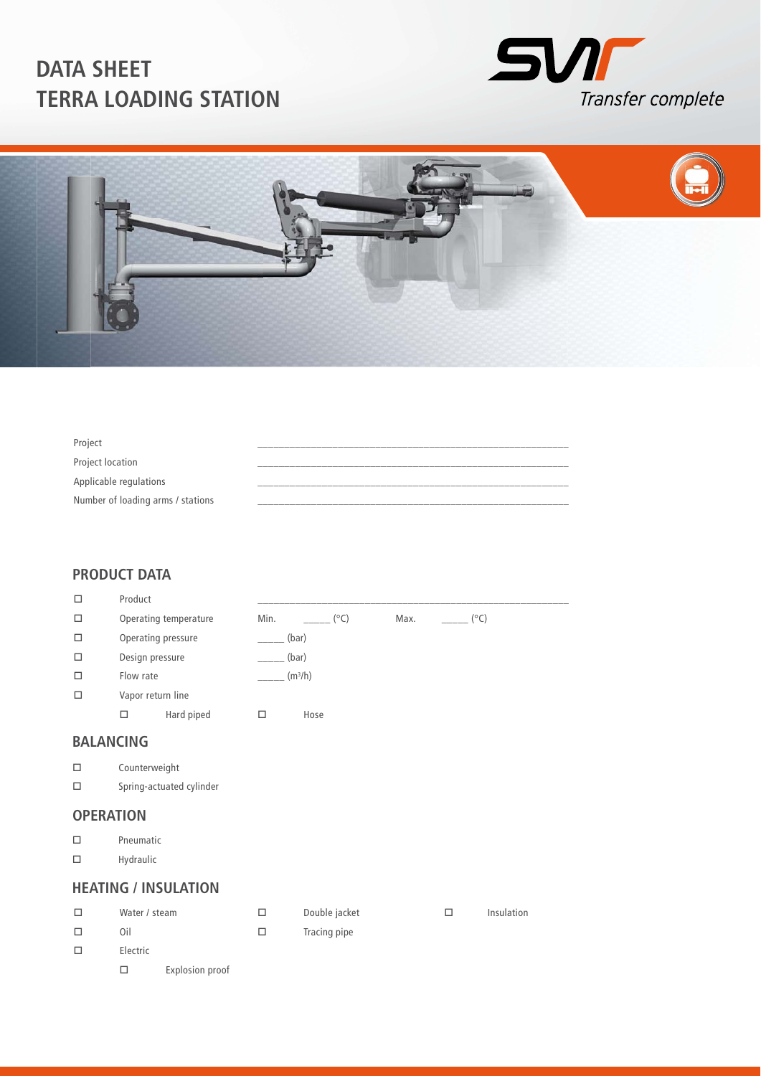



| Project                           |  |
|-----------------------------------|--|
| Project location                  |  |
| Applicable regulations            |  |
| Number of loading arms / stations |  |

### **PRODUCT DATA**

| □ | Product            |                       |       |                     |      |      |
|---|--------------------|-----------------------|-------|---------------------|------|------|
| □ |                    | Operating temperature | Min.  | $(^{\circ}C)$       | Max. | (°C) |
| □ | Operating pressure |                       | (bar) |                     |      |      |
| □ | Design pressure    |                       | (bar) |                     |      |      |
| □ | Flow rate          |                       |       | (m <sup>3</sup> /h) |      |      |
| □ | Vapor return line  |                       |       |                     |      |      |
|   | □                  | Hard piped            |       | Hose                |      |      |
|   |                    |                       |       |                     |      |      |

## **BALANCING**

- Counterweight
- $\square$  Spring-actuated cylinder

#### **OPERATION**

- Pneumatic
- $\square$  Hydraulic

#### **HEATING / INSULATION**

| Water / steam |                 | Double jacket | Insulation |
|---------------|-----------------|---------------|------------|
| Oil           |                 | Tracing pipe  |            |
| Electric      |                 |               |            |
|               | Explosion proof |               |            |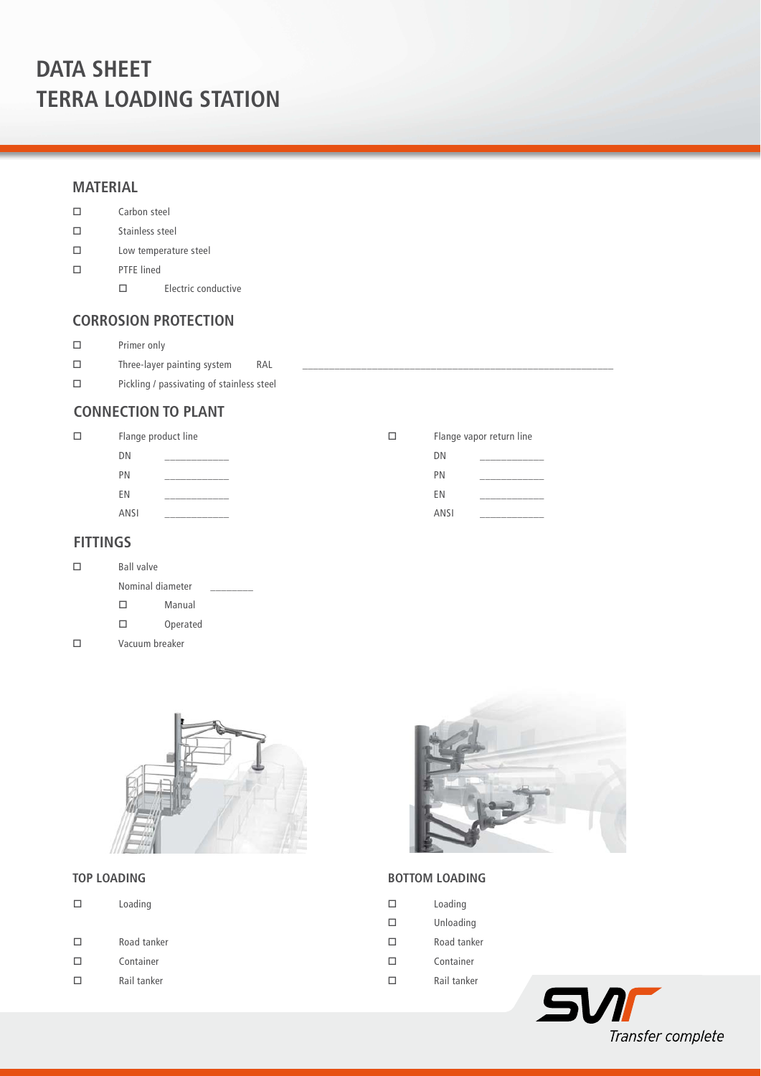#### **MATERIAL**

- Carbon steel
- $\square$  Stainless steel
- Low temperature steel
- PTFE lined
	- $\square$  Electric conductive

### **CORROSION PROTECTION**

- $\square$  Primer only
- $\square$  Three-layer painting system RAL
- $\square$  Pickling / passivating of stainless steel

## **CONNECTION TO PLANT**

| □ | Flange product line |              |             | Flange vapor return line |
|---|---------------------|--------------|-------------|--------------------------|
|   | DΝ                  |              | DN          |                          |
|   | PN                  |              | PN          |                          |
|   | ΕN                  |              | ΕN          |                          |
|   | ANSI                | ____________ | <b>ANSI</b> |                          |
|   |                     |              |             |                          |

### **FITTINGS**

 $\Box$ 

| П | <b>Ball valve</b> |          |  |
|---|-------------------|----------|--|
|   | Nominal diameter  |          |  |
|   | п                 | Manual   |  |
|   |                   | Operated |  |

- 
- Vacuum breaker



#### **TOP LOADING**

- Road tanker
- Container
- $\square$  Rail tanker



### **BOTTOM LOADING**

|  | Loading |
|--|---------|
|--|---------|

- Unloading
- Road tanker
- Container
- $\square$  Rail tanker

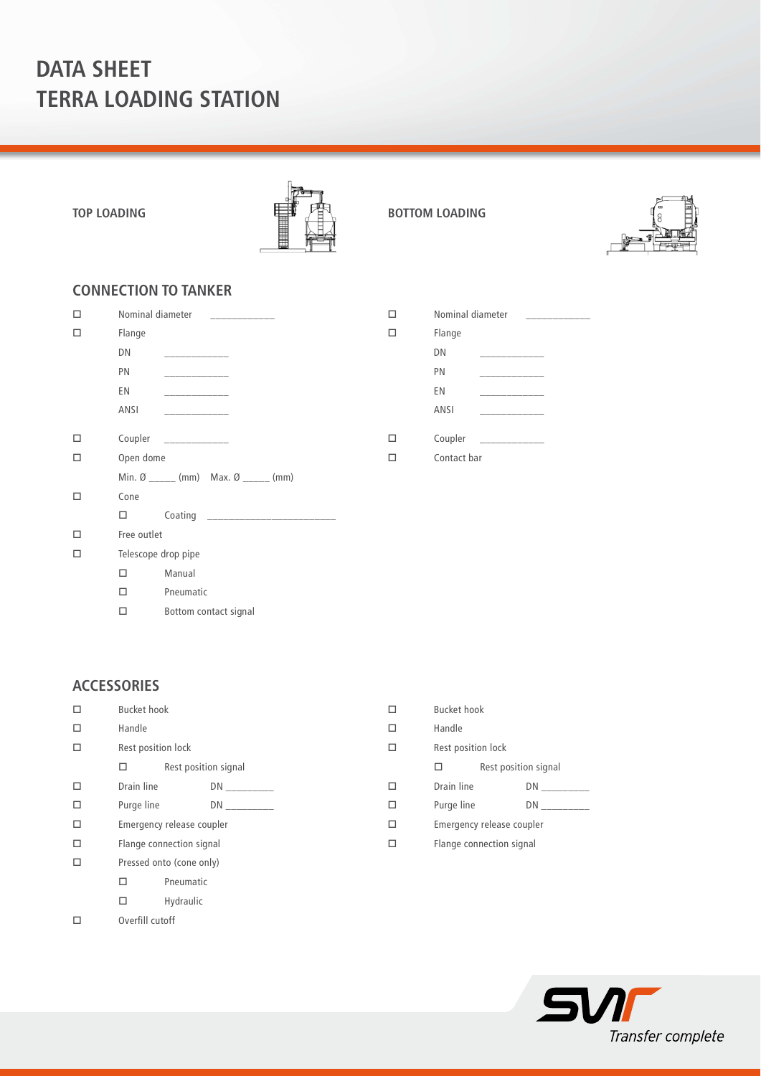



## **CONNECTION TO TANKER**

| п | Nominal diameter<br>$\overline{a}$ and $\overline{a}$ are all $\overline{a}$ and $\overline{a}$ are all $\overline{a}$ and $\overline{a}$ are all $\overline{a}$ and $\overline{a}$                                                                                                                                                                                                                                                                                                                        | п | N <sub>0</sub> |
|---|------------------------------------------------------------------------------------------------------------------------------------------------------------------------------------------------------------------------------------------------------------------------------------------------------------------------------------------------------------------------------------------------------------------------------------------------------------------------------------------------------------|---|----------------|
| п | Flange                                                                                                                                                                                                                                                                                                                                                                                                                                                                                                     | □ | Fk             |
|   | DN<br><u> 1989 - Johann John Harry Store Barnett av den stad by de la provincia de la provincia de la provincia de la p</u>                                                                                                                                                                                                                                                                                                                                                                                |   | DI             |
|   | PN<br>and the company of the company                                                                                                                                                                                                                                                                                                                                                                                                                                                                       |   | PN             |
|   | EN<br><b>Contract Contract Contract</b>                                                                                                                                                                                                                                                                                                                                                                                                                                                                    |   | E١             |
|   | ANSI<br><u> Liberal Communication</u>                                                                                                                                                                                                                                                                                                                                                                                                                                                                      |   | Aľ             |
| П | Coupler<br>$\begin{tabular}{ll} \multicolumn{2}{c} {\textbf{1}} & \multicolumn{2}{c} {\textbf{2}} & \multicolumn{2}{c} {\textbf{3}} & \multicolumn{2}{c} {\textbf{4}} \\ \multicolumn{2}{c} {\textbf{1}} & \multicolumn{2}{c} {\textbf{2}} & \multicolumn{2}{c} {\textbf{3}} & \multicolumn{2}{c} {\textbf{4}} \\ \multicolumn{2}{c} {\textbf{1}} & \multicolumn{2}{c} {\textbf{1}} & \multicolumn{2}{c} {\textbf{2}} & \multicolumn{2}{c} {\textbf{3}} & \multicolumn{2}{c} {\textbf{4}} \\ \multicolumn$ | П | Co             |
| п | Open dome                                                                                                                                                                                                                                                                                                                                                                                                                                                                                                  | П | C <sub>C</sub> |
|   | Min. $\varnothing$ _______ (mm) Max. $\varnothing$ ______ (mm)                                                                                                                                                                                                                                                                                                                                                                                                                                             |   |                |
| п | Cone                                                                                                                                                                                                                                                                                                                                                                                                                                                                                                       |   |                |
|   | $\Box$                                                                                                                                                                                                                                                                                                                                                                                                                                                                                                     |   |                |
|   | Free outlet                                                                                                                                                                                                                                                                                                                                                                                                                                                                                                |   |                |
| п | Telescope drop pipe                                                                                                                                                                                                                                                                                                                                                                                                                                                                                        |   |                |
|   | Manual<br>п                                                                                                                                                                                                                                                                                                                                                                                                                                                                                                |   |                |
|   | Pneumatic<br>п                                                                                                                                                                                                                                                                                                                                                                                                                                                                                             |   |                |
|   | Bottom contact signal<br>п                                                                                                                                                                                                                                                                                                                                                                                                                                                                                 |   |                |

| Nominal diameter | _____ |
|------------------|-------|
| Flange           |       |
| DN               |       |
| PN               |       |
| EN               | _____ |
| <b>ANSI</b>      |       |
| Coupler          |       |
| Contact bar      |       |
|                  |       |

#### **ACCESSORIES**

- $\square$  Bucket hook  $\square$  Handle  $\square$  Rest position lock  $\square$  Rest position signal  $\square$  Drain line DN \_  $\square$  Purge line DN \_ Emergency release coupler Flange connection signal □ Pressed onto (cone only) Pneumatic  $\Box$  Hydraulic Overfill cutoff
- □ Bucket hook  $\Box$  Handle □ Rest position lock  $\square$  Rest position signal  $\square$  Drain line DN \_  $\square$  Purge line DN Emergency release coupler Flange connection signal

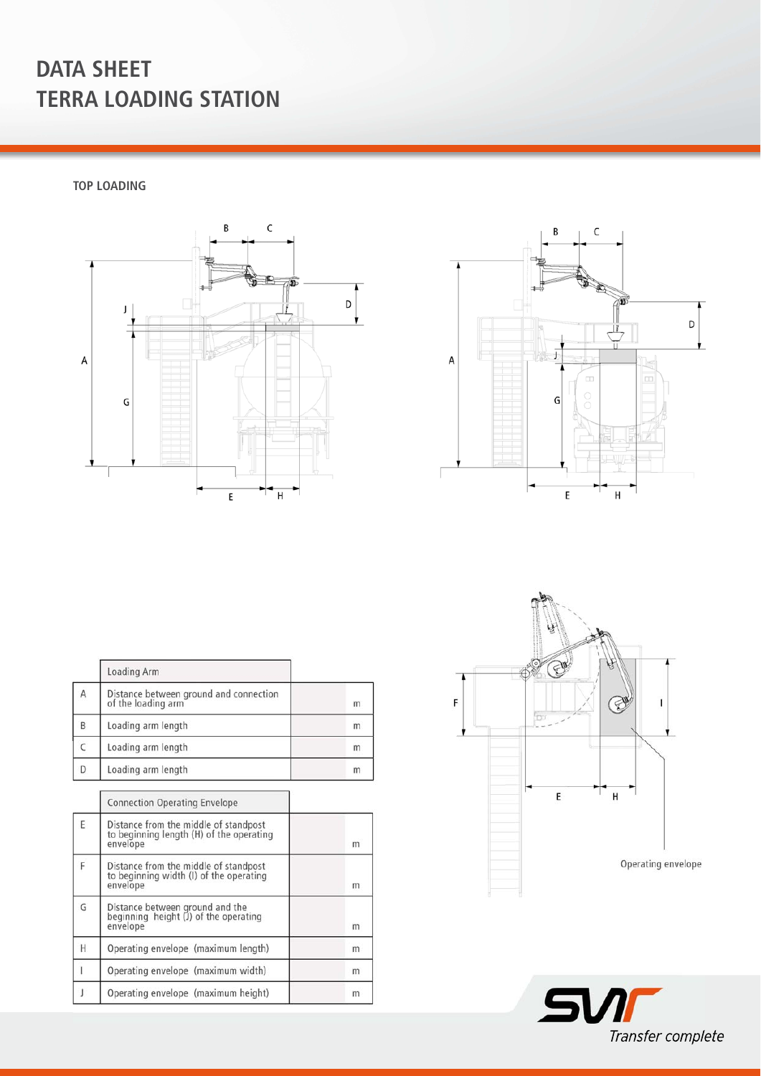**TOP LOADING** 





|   | Loading Arm                                                  |   |
|---|--------------------------------------------------------------|---|
| A | Distance between ground and connection<br>of the loading arm | m |
| B | Loading arm length                                           | m |
|   | Loading arm length                                           | m |
| D | Loading arm length                                           | m |

|   | <b>Connection Operating Envelope</b>                                                          |   |
|---|-----------------------------------------------------------------------------------------------|---|
| F | Distance from the middle of standpost<br>to beginning length (H) of the operating<br>envelope | m |
|   | Distance from the middle of standpost<br>to beginning width (I) of the operating<br>envelope  | m |
| G | Distance between ground and the<br>beginning height (J) of the operating<br>envelope          | m |
| H | Operating envelope (maximum length)                                                           | m |
|   | Operating envelope (maximum width)                                                            | m |
|   | Operating envelope (maximum height)                                                           | m |



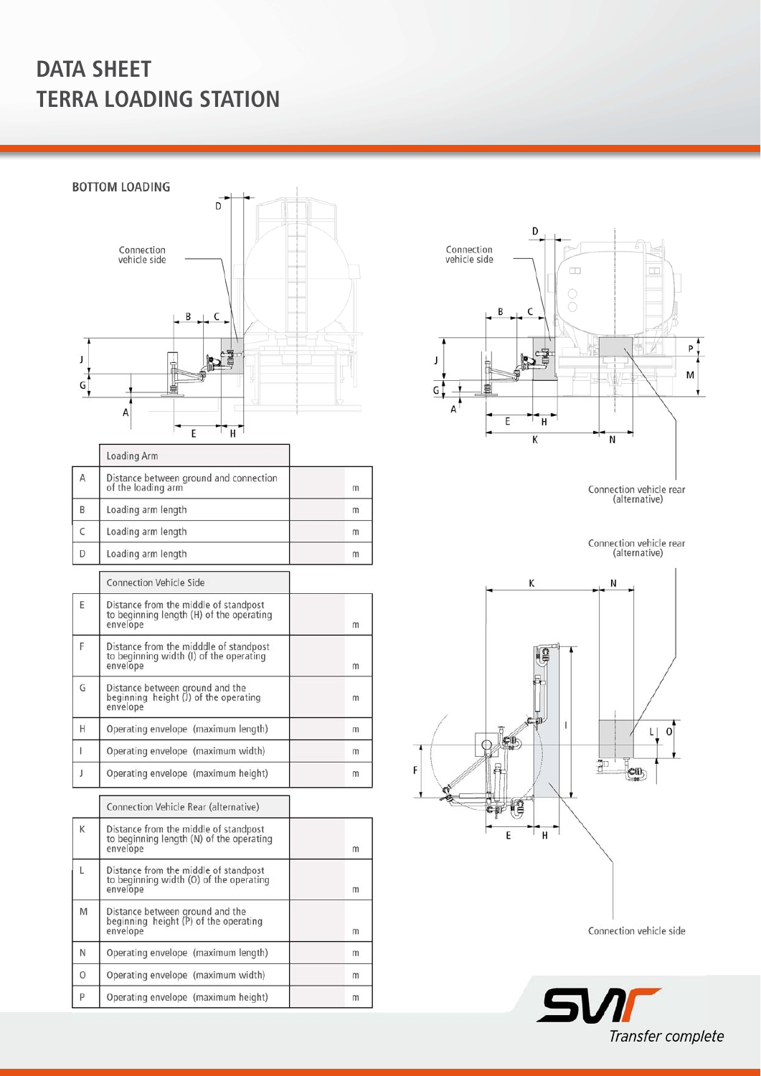Ï

**BOTTOM LOADING**  $\overline{D}$ Connection<br>vehicle side B  $\mathsf C$  $\mathbf{J}$ Ě P  $\mathsf{G}$ 盲  $\sf A$ E `H ¯

|             | Loading Arm                                                                       |   |
|-------------|-----------------------------------------------------------------------------------|---|
| $\mathsf A$ | Distance between ground and connection<br>of the loading arm                      | m |
| B           | Loading arm length                                                                | m |
| $\epsilon$  | Loading arm length                                                                | m |
| D           | Loading arm length                                                                | m |
|             | <b>Connection Vehicle Side</b>                                                    |   |
| E           | Distance from the middle of standpost<br>to beginning length (H) of the operating |   |

|   | envelope                                                                                      | m |
|---|-----------------------------------------------------------------------------------------------|---|
|   | Distance from the midddle of standpost<br>to beginning width (I) of the operating<br>envelope | m |
| G | Distance between ground and the<br>beginning height (J) of the operating<br>envelope          | m |
| Н | Operating envelope (maximum length)                                                           | m |
|   | Operating envelope (maximum width)                                                            | m |
|   | Operating envelope (maximum height)                                                           | m |

Connection Vehicle Rear (alternative) Distance from the middle of standpost<br>to beginning length (N) of the operating<br>envelope  $\sf K$ m Distance from the middle of standpost<br>to beginning width (O) of the operating<br>envelope  $\mathsf L$  $\mathsf{m}$ Distance between ground and the<br>beginning height (P) of the operating<br>envelope M  $m$  $\mathsf N$ Operating envelope (maximum length)  $m$  $\circ$ Operating envelope (maximum width)  $m$ P Operating envelope (maximum height)  $m$ 



Connection vehicle rear<br>(alternative)

Connection vehicle rear<br>(alternative)



Connection vehicle side

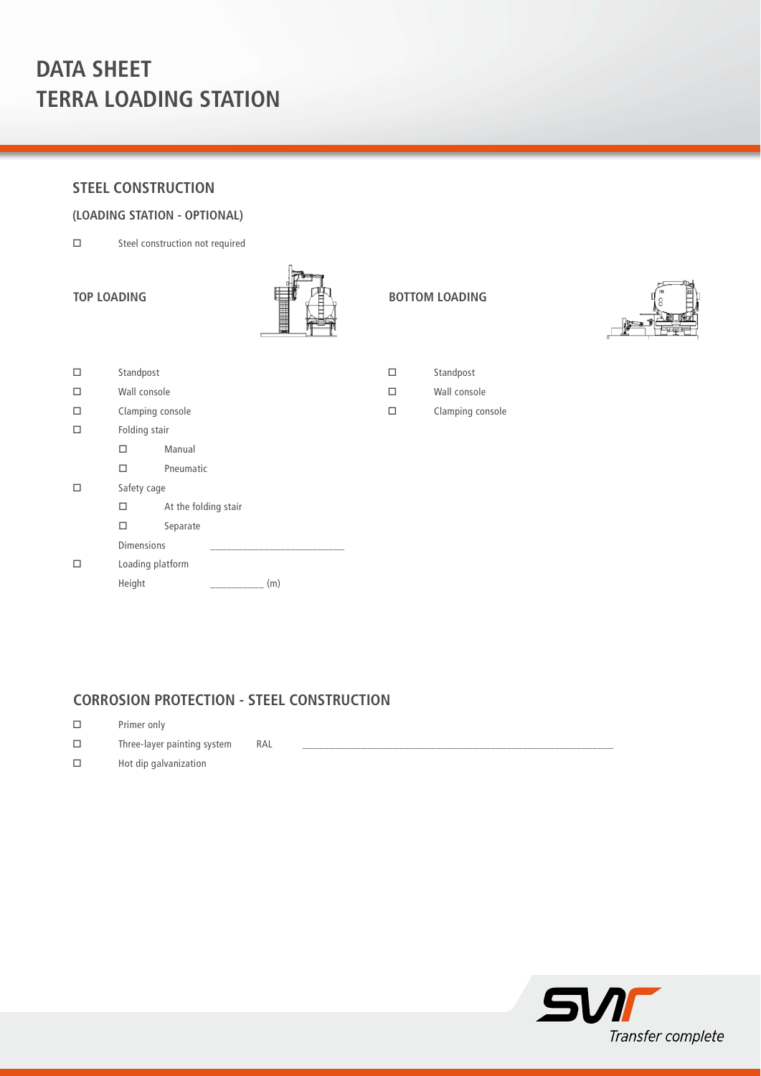### **STEEL CONSTRUCTION**

#### **(LOADING STATION - OPTIONAL)**

Steel construction not required



□ Standpost Wall console Clamping console  $\square$  Folding stair Manual Pneumatic □ Safety cage  $\square$  At the folding stair □ Separate Dimensions

| Л | Loading platform |     |
|---|------------------|-----|
|   | Height           | (m) |

| TOP LOADING | 由<br>栉 | <b>BOTTOM LOADING</b> |
|-------------|--------|-----------------------|
|             |        |                       |



Wall console

Clamping console

## **CORROSION PROTECTION - STEEL CONSTRUCTION**

- Primer only
- $\square$  Three-layer painting system RAL
- $\square$  Hot dip galvanization